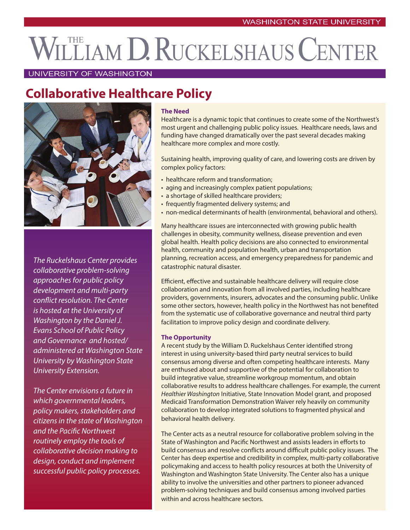# LLIAM D. RUCKELSHAUS CENTER

### UNIVERSITY OF WASHINGTON

# **Collaborative Healthcare Policy**



*The Ruckelshaus Center provides collaborative problem-solving approaches for public policy development and multi-party conflict resolution. The Center is hosted at the University of Washington by the Daniel J. Evans School of Public Policy and Governance and hosted/ administered at Washington State University by Washington State University Extension.*

*The Center envisions a future in which governmental leaders, policy makers, stakeholders and citizens in the state of Washington and the Pacific Northwest routinely employ the tools of collaborative decision making to design, conduct and implement successful public policy processes.* 

#### **The Need**

Healthcare is a dynamic topic that continues to create some of the Northwest's most urgent and challenging public policy issues. Healthcare needs, laws and funding have changed dramatically over the past several decades making healthcare more complex and more costly.

Sustaining health, improving quality of care, and lowering costs are driven by complex policy factors:

- healthcare reform and transformation;
- aging and increasingly complex patient populations;
- a shortage of skilled healthcare providers;
- frequently fragmented delivery systems; and
- non-medical determinants of health (environmental, behavioral and others).

Many healthcare issues are interconnected with growing public health challenges in obesity, community wellness, disease prevention and even global health. Health policy decisions are also connected to environmental health, community and population health, urban and transportation planning, recreation access, and emergency preparedness for pandemic and catastrophic natural disaster.

Efficient, effective and sustainable healthcare delivery will require close collaboration and innovation from all involved parties, including healthcare providers, governments, insurers, advocates and the consuming public. Unlike some other sectors, however, health policy in the Northwest has not benefited from the systematic use of collaborative governance and neutral third party facilitation to improve policy design and coordinate delivery.

#### **The Opportunity**

A recent study by the William D. Ruckelshaus Center identified strong interest in using university-based third party neutral services to build consensus among diverse and often competing healthcare interests. Many are enthused about and supportive of the potential for collaboration to build integrative value, streamline workgroup momentum, and obtain collaborative results to address healthcare challenges. For example, the current *Healthier Washington* Initiative, State Innovation Model grant, and proposed Medicaid Transformation Demonstration Waiver rely heavily on community collaboration to develop integrated solutions to fragmented physical and behavioral health delivery.

The Center acts as a neutral resource for collaborative problem solving in the State of Washington and Pacific Northwest and assists leaders in efforts to build consensus and resolve conflicts around difficult public policy issues. The Center has deep expertise and credibility in complex, multi-party collaborative policymaking and access to health policy resources at both the University of Washington and Washington State University. The Center also has a unique ability to involve the universities and other partners to pioneer advanced problem-solving techniques and build consensus among involved parties within and across healthcare sectors.